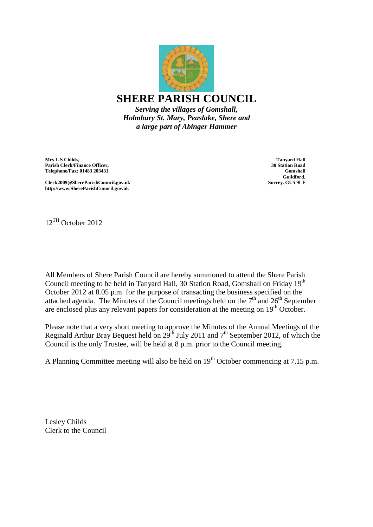

*Holmbury St. Mary, Peaslake, Shere and a large part of Abinger Hammer*

**Mrs L S Childs, Parish Clerk/Finance Officer, Telephone/Fax: 01483 203431**

**Tanyard Hall 30 Station Road Gomshall Guildford, Surrey. GU5 9LF**

**Clerk2009@ShereParishCouncil.gov.uk http://www.ShereParishCouncil.gov.uk**

12TH October 2012

All Members of Shere Parish Council are hereby summoned to attend the Shere Parish Council meeting to be held in Tanyard Hall, 30 Station Road, Gomshall on Friday 19<sup>th</sup> October 2012 at 8.05 p.m. for the purpose of transacting the business specified on the attached agenda. The Minutes of the Council meetings held on the  $7<sup>th</sup>$  and  $26<sup>th</sup>$  September are enclosed plus any relevant papers for consideration at the meeting on  $19<sup>th</sup>$  October.

Please note that a very short meeting to approve the Minutes of the Annual Meetings of the Reginald Arthur Bray Bequest held on  $29^{th}$  July 2011 and  $7^{th}$  September 2012, of which the Council is the only Trustee, will be held at 8 p.m. prior to the Council meeting.

A Planning Committee meeting will also be held on  $19<sup>th</sup>$  October commencing at 7.15 p.m.

Lesley Childs Clerk to the Council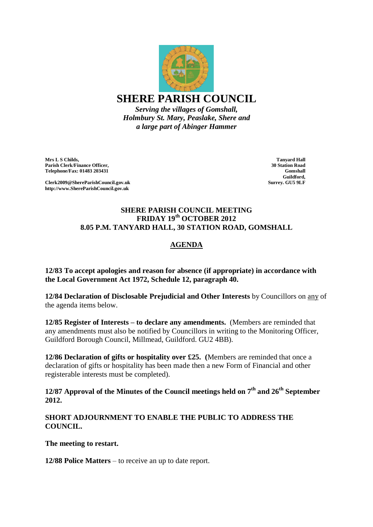

*Serving the villages of Gomshall, Holmbury St. Mary, Peaslake, Shere and a large part of Abinger Hammer*

**Mrs L S Childs, Parish Clerk/Finance Officer, Telephone/Fax: 01483 203431**

**Clerk2009@ShereParishCouncil.gov.uk http://www.ShereParishCouncil.gov.uk**

**Tanyard Hall 30 Station Road Gomshall Guildford, Surrey. GU5 9LF**

#### **SHERE PARISH COUNCIL MEETING FRIDAY 19th OCTOBER 2012 8.05 P.M. TANYARD HALL, 30 STATION ROAD, GOMSHALL**

# **AGENDA**

**12/83 To accept apologies and reason for absence (if appropriate) in accordance with the Local Government Act 1972, Schedule 12, paragraph 40.**

**12/84 Declaration of Disclosable Prejudicial and Other Interests** by Councillors on any of the agenda items below.

**12/85 Register of Interests – to declare any amendments.** (Members are reminded that any amendments must also be notified by Councillors in writing to the Monitoring Officer, Guildford Borough Council, Millmead, Guildford. GU2 4BB).

**12/86 Declaration of gifts or hospitality over £25. (**Members are reminded that once a declaration of gifts or hospitality has been made then a new Form of Financial and other registerable interests must be completed).

**12/87 Approval of the Minutes of the Council meetings held on 7th and 26th September 2012.**

**SHORT ADJOURNMENT TO ENABLE THE PUBLIC TO ADDRESS THE COUNCIL.** 

**The meeting to restart.**

**12/88 Police Matters** – to receive an up to date report.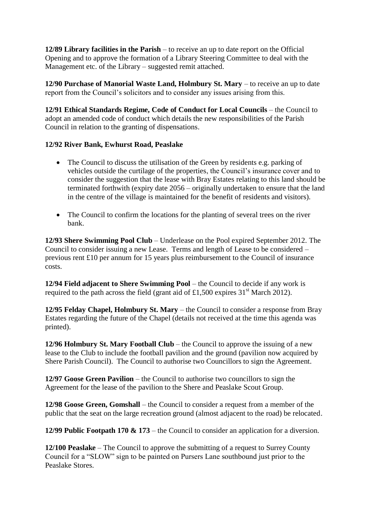**12/89 Library facilities in the Parish** – to receive an up to date report on the Official Opening and to approve the formation of a Library Steering Committee to deal with the Management etc. of the Library – suggested remit attached.

**12/90 Purchase of Manorial Waste Land, Holmbury St. Mary** – to receive an up to date report from the Council's solicitors and to consider any issues arising from this.

**12/91 Ethical Standards Regime, Code of Conduct for Local Councils** – the Council to adopt an amended code of conduct which details the new responsibilities of the Parish Council in relation to the granting of dispensations.

### **12/92 River Bank, Ewhurst Road, Peaslake**

- The Council to discuss the utilisation of the Green by residents e.g. parking of vehicles outside the curtilage of the properties, the Council's insurance cover and to consider the suggestion that the lease with Bray Estates relating to this land should be terminated forthwith (expiry date 2056 – originally undertaken to ensure that the land in the centre of the village is maintained for the benefit of residents and visitors).
- The Council to confirm the locations for the planting of several trees on the river bank.

**12/93 Shere Swimming Pool Club** – Underlease on the Pool expired September 2012. The Council to consider issuing a new Lease. Terms and length of Lease to be considered – previous rent £10 per annum for 15 years plus reimbursement to the Council of insurance costs.

**12/94 Field adjacent to Shere Swimming Pool** – the Council to decide if any work is required to the path across the field (grant aid of £1,500 expires  $31<sup>st</sup>$  March 2012).

**12/95 Felday Chapel, Holmbury St. Mary** – the Council to consider a response from Bray Estates regarding the future of the Chapel (details not received at the time this agenda was printed).

**12/96 Holmbury St. Mary Football Club** – the Council to approve the issuing of a new lease to the Club to include the football pavilion and the ground (pavilion now acquired by Shere Parish Council). The Council to authorise two Councillors to sign the Agreement.

**12/97 Goose Green Pavilion** – the Council to authorise two councillors to sign the Agreement for the lease of the pavilion to the Shere and Peaslake Scout Group.

**12/98 Goose Green, Gomshall** – the Council to consider a request from a member of the public that the seat on the large recreation ground (almost adjacent to the road) be relocated.

**12/99 Public Footpath 170 & 173** – the Council to consider an application for a diversion.

**12/100 Peaslake** – The Council to approve the submitting of a request to Surrey County Council for a "SLOW" sign to be painted on Pursers Lane southbound just prior to the Peaslake Stores.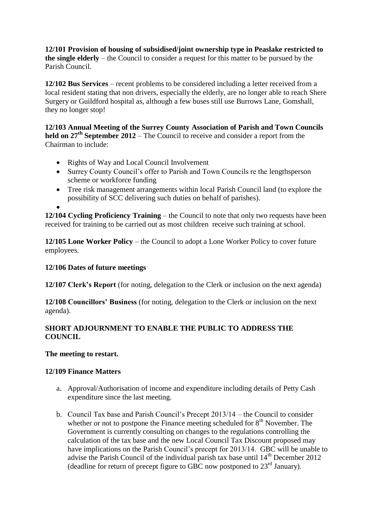**12/101 Provision of housing of subsidised/joint ownership type in Peaslake restricted to the single elderly** – the Council to consider a request for this matter to be pursued by the Parish Council.

**12/102 Bus Services** – recent problems to be considered including a letter received from a local resident stating that non drivers, especially the elderly, are no longer able to reach Shere Surgery or Guildford hospital as, although a few buses still use Burrows Lane, Gomshall, they no longer stop!

**12/103 Annual Meeting of the Surrey County Association of Parish and Town Councils held on 27th September 2012** – The Council to receive and consider a report from the Chairman to include:

- Rights of Way and Local Council Involvement
- Surrey County Council's offer to Parish and Town Councils re the lengthsperson scheme or workforce funding
- Tree risk management arrangements within local Parish Council land (to explore the possibility of SCC delivering such duties on behalf of parishes).

 $\bullet$ 

**12/104 Cycling Proficiency Training** – the Council to note that only two requests have been received for training to be carried out as most children receive such training at school.

**12/105 Lone Worker Policy** – the Council to adopt a Lone Worker Policy to cover future employees.

## **12/106 Dates of future meetings**

**12/107 Clerk's Report** (for noting, delegation to the Clerk or inclusion on the next agenda)

**12/108 Councillors' Business** (for noting, delegation to the Clerk or inclusion on the next agenda).

### **SHORT ADJOURNMENT TO ENABLE THE PUBLIC TO ADDRESS THE COUNCIL**

### **The meeting to restart.**

### **12/109 Finance Matters**

- a. Approval/Authorisation of income and expenditure including details of Petty Cash expenditure since the last meeting.
- b. Council Tax base and Parish Council's Precept 2013/14 the Council to consider whether or not to postpone the Finance meeting scheduled for  $8<sup>th</sup>$  November. The Government is currently consulting on changes to the regulations controlling the calculation of the tax base and the new Local Council Tax Discount proposed may have implications on the Parish Council's precept for 2013/14. GBC will be unable to advise the Parish Council of the individual parish tax base until  $14<sup>th</sup>$  December 2012 (deadline for return of precept figure to GBC now postponed to  $23<sup>rd</sup>$  January).